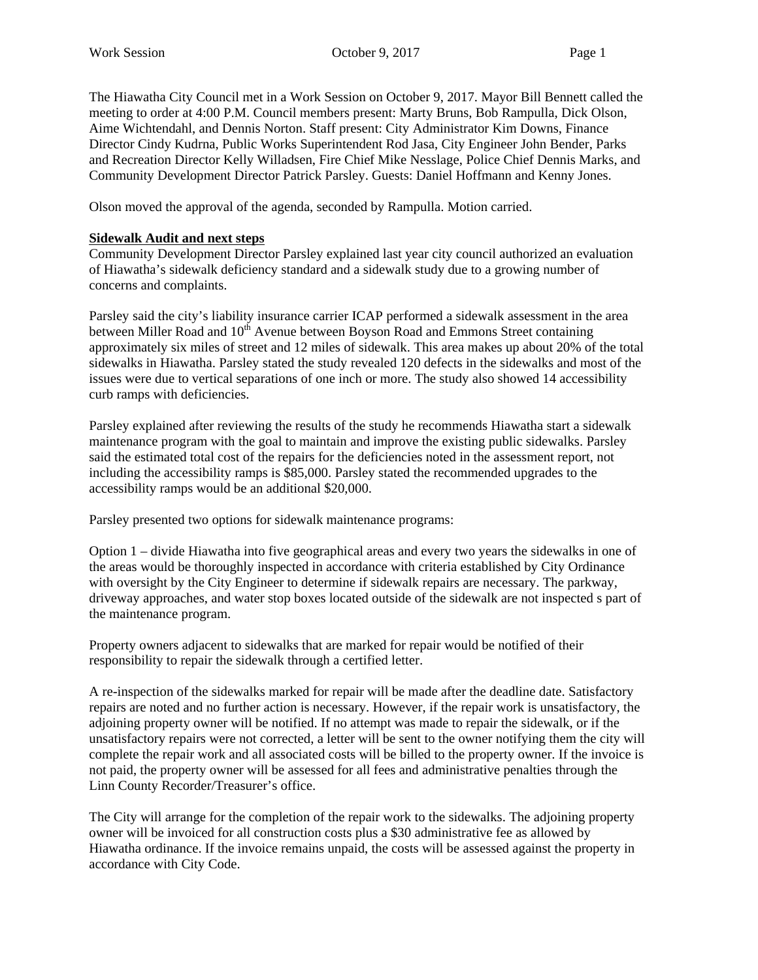The Hiawatha City Council met in a Work Session on October 9, 2017. Mayor Bill Bennett called the meeting to order at 4:00 P.M. Council members present: Marty Bruns, Bob Rampulla, Dick Olson, Aime Wichtendahl, and Dennis Norton. Staff present: City Administrator Kim Downs, Finance Director Cindy Kudrna, Public Works Superintendent Rod Jasa, City Engineer John Bender, Parks and Recreation Director Kelly Willadsen, Fire Chief Mike Nesslage, Police Chief Dennis Marks, and Community Development Director Patrick Parsley. Guests: Daniel Hoffmann and Kenny Jones.

Olson moved the approval of the agenda, seconded by Rampulla. Motion carried.

#### **Sidewalk Audit and next steps**

Community Development Director Parsley explained last year city council authorized an evaluation of Hiawatha's sidewalk deficiency standard and a sidewalk study due to a growing number of concerns and complaints.

Parsley said the city's liability insurance carrier ICAP performed a sidewalk assessment in the area between Miller Road and 10<sup>th</sup> Avenue between Boyson Road and Emmons Street containing approximately six miles of street and 12 miles of sidewalk. This area makes up about 20% of the total sidewalks in Hiawatha. Parsley stated the study revealed 120 defects in the sidewalks and most of the issues were due to vertical separations of one inch or more. The study also showed 14 accessibility curb ramps with deficiencies.

Parsley explained after reviewing the results of the study he recommends Hiawatha start a sidewalk maintenance program with the goal to maintain and improve the existing public sidewalks. Parsley said the estimated total cost of the repairs for the deficiencies noted in the assessment report, not including the accessibility ramps is \$85,000. Parsley stated the recommended upgrades to the accessibility ramps would be an additional \$20,000.

Parsley presented two options for sidewalk maintenance programs:

Option 1 – divide Hiawatha into five geographical areas and every two years the sidewalks in one of the areas would be thoroughly inspected in accordance with criteria established by City Ordinance with oversight by the City Engineer to determine if sidewalk repairs are necessary. The parkway, driveway approaches, and water stop boxes located outside of the sidewalk are not inspected s part of the maintenance program.

Property owners adjacent to sidewalks that are marked for repair would be notified of their responsibility to repair the sidewalk through a certified letter.

A re-inspection of the sidewalks marked for repair will be made after the deadline date. Satisfactory repairs are noted and no further action is necessary. However, if the repair work is unsatisfactory, the adjoining property owner will be notified. If no attempt was made to repair the sidewalk, or if the unsatisfactory repairs were not corrected, a letter will be sent to the owner notifying them the city will complete the repair work and all associated costs will be billed to the property owner. If the invoice is not paid, the property owner will be assessed for all fees and administrative penalties through the Linn County Recorder/Treasurer's office.

The City will arrange for the completion of the repair work to the sidewalks. The adjoining property owner will be invoiced for all construction costs plus a \$30 administrative fee as allowed by Hiawatha ordinance. If the invoice remains unpaid, the costs will be assessed against the property in accordance with City Code.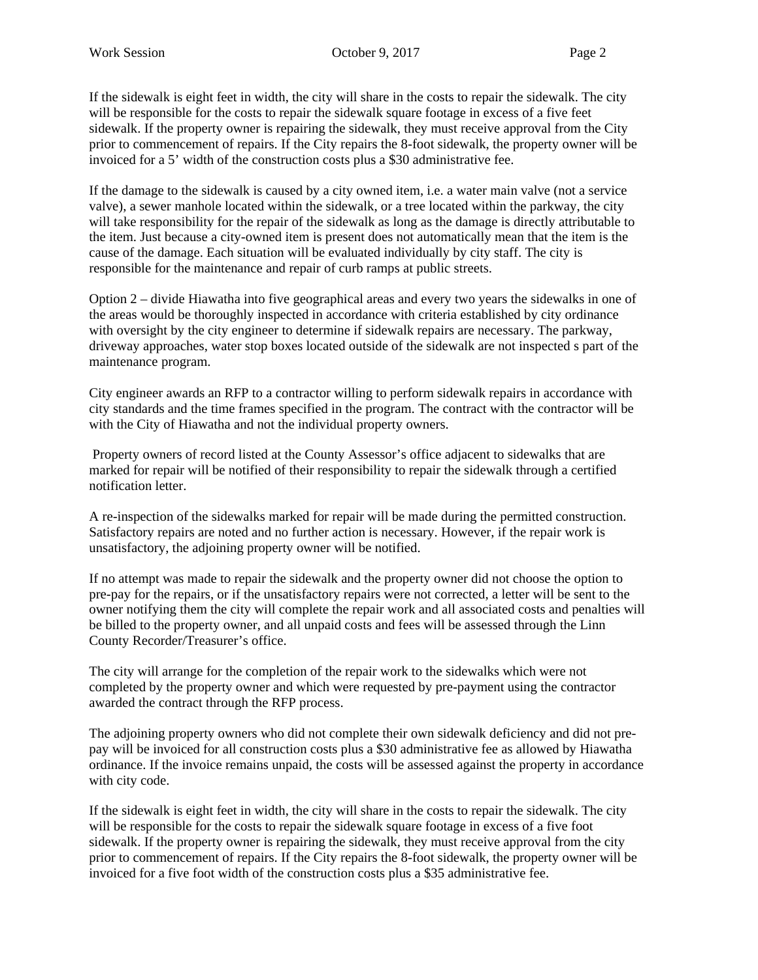If the sidewalk is eight feet in width, the city will share in the costs to repair the sidewalk. The city will be responsible for the costs to repair the sidewalk square footage in excess of a five feet sidewalk. If the property owner is repairing the sidewalk, they must receive approval from the City prior to commencement of repairs. If the City repairs the 8-foot sidewalk, the property owner will be invoiced for a 5' width of the construction costs plus a \$30 administrative fee.

If the damage to the sidewalk is caused by a city owned item, i.e. a water main valve (not a service valve), a sewer manhole located within the sidewalk, or a tree located within the parkway, the city will take responsibility for the repair of the sidewalk as long as the damage is directly attributable to the item. Just because a city-owned item is present does not automatically mean that the item is the cause of the damage. Each situation will be evaluated individually by city staff. The city is responsible for the maintenance and repair of curb ramps at public streets.

Option 2 – divide Hiawatha into five geographical areas and every two years the sidewalks in one of the areas would be thoroughly inspected in accordance with criteria established by city ordinance with oversight by the city engineer to determine if sidewalk repairs are necessary. The parkway, driveway approaches, water stop boxes located outside of the sidewalk are not inspected s part of the maintenance program.

City engineer awards an RFP to a contractor willing to perform sidewalk repairs in accordance with city standards and the time frames specified in the program. The contract with the contractor will be with the City of Hiawatha and not the individual property owners.

 Property owners of record listed at the County Assessor's office adjacent to sidewalks that are marked for repair will be notified of their responsibility to repair the sidewalk through a certified notification letter.

A re-inspection of the sidewalks marked for repair will be made during the permitted construction. Satisfactory repairs are noted and no further action is necessary. However, if the repair work is unsatisfactory, the adjoining property owner will be notified.

If no attempt was made to repair the sidewalk and the property owner did not choose the option to pre-pay for the repairs, or if the unsatisfactory repairs were not corrected, a letter will be sent to the owner notifying them the city will complete the repair work and all associated costs and penalties will be billed to the property owner, and all unpaid costs and fees will be assessed through the Linn County Recorder/Treasurer's office.

The city will arrange for the completion of the repair work to the sidewalks which were not completed by the property owner and which were requested by pre-payment using the contractor awarded the contract through the RFP process.

The adjoining property owners who did not complete their own sidewalk deficiency and did not prepay will be invoiced for all construction costs plus a \$30 administrative fee as allowed by Hiawatha ordinance. If the invoice remains unpaid, the costs will be assessed against the property in accordance with city code.

If the sidewalk is eight feet in width, the city will share in the costs to repair the sidewalk. The city will be responsible for the costs to repair the sidewalk square footage in excess of a five foot sidewalk. If the property owner is repairing the sidewalk, they must receive approval from the city prior to commencement of repairs. If the City repairs the 8-foot sidewalk, the property owner will be invoiced for a five foot width of the construction costs plus a \$35 administrative fee.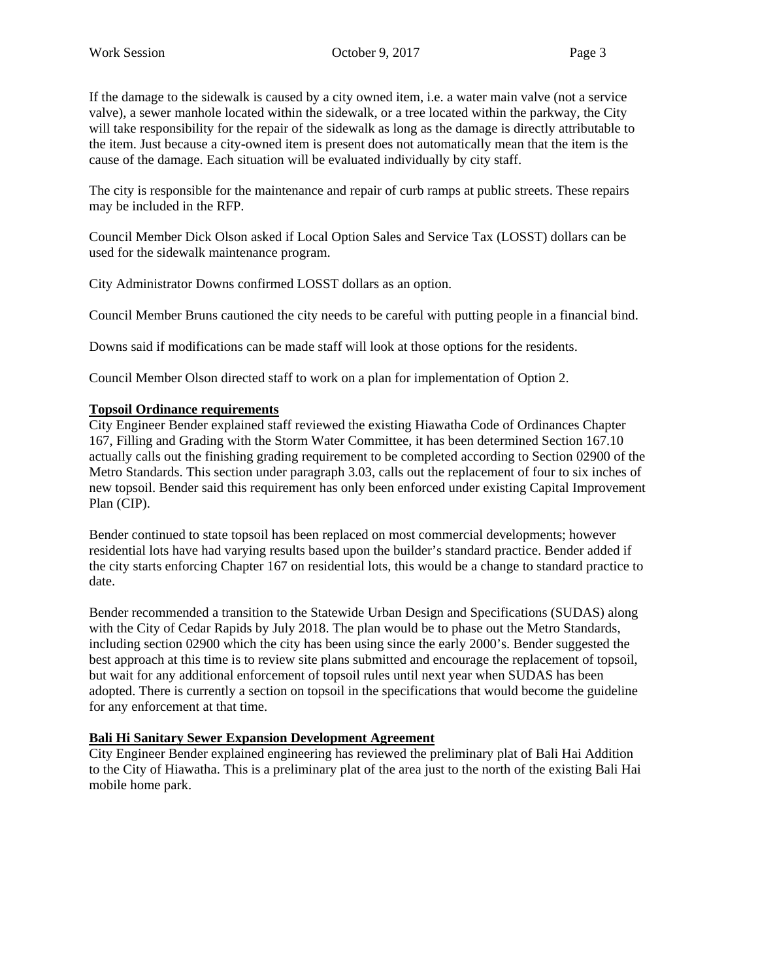If the damage to the sidewalk is caused by a city owned item, i.e. a water main valve (not a service valve), a sewer manhole located within the sidewalk, or a tree located within the parkway, the City will take responsibility for the repair of the sidewalk as long as the damage is directly attributable to the item. Just because a city-owned item is present does not automatically mean that the item is the cause of the damage. Each situation will be evaluated individually by city staff.

The city is responsible for the maintenance and repair of curb ramps at public streets. These repairs may be included in the RFP.

Council Member Dick Olson asked if Local Option Sales and Service Tax (LOSST) dollars can be used for the sidewalk maintenance program.

City Administrator Downs confirmed LOSST dollars as an option.

Council Member Bruns cautioned the city needs to be careful with putting people in a financial bind.

Downs said if modifications can be made staff will look at those options for the residents.

Council Member Olson directed staff to work on a plan for implementation of Option 2.

### **Topsoil Ordinance requirements**

City Engineer Bender explained staff reviewed the existing Hiawatha Code of Ordinances Chapter 167, Filling and Grading with the Storm Water Committee, it has been determined Section 167.10 actually calls out the finishing grading requirement to be completed according to Section 02900 of the Metro Standards. This section under paragraph 3.03, calls out the replacement of four to six inches of new topsoil. Bender said this requirement has only been enforced under existing Capital Improvement Plan (CIP).

Bender continued to state topsoil has been replaced on most commercial developments; however residential lots have had varying results based upon the builder's standard practice. Bender added if the city starts enforcing Chapter 167 on residential lots, this would be a change to standard practice to date.

Bender recommended a transition to the Statewide Urban Design and Specifications (SUDAS) along with the City of Cedar Rapids by July 2018. The plan would be to phase out the Metro Standards, including section 02900 which the city has been using since the early 2000's. Bender suggested the best approach at this time is to review site plans submitted and encourage the replacement of topsoil, but wait for any additional enforcement of topsoil rules until next year when SUDAS has been adopted. There is currently a section on topsoil in the specifications that would become the guideline for any enforcement at that time.

## **Bali Hi Sanitary Sewer Expansion Development Agreement**

City Engineer Bender explained engineering has reviewed the preliminary plat of Bali Hai Addition to the City of Hiawatha. This is a preliminary plat of the area just to the north of the existing Bali Hai mobile home park.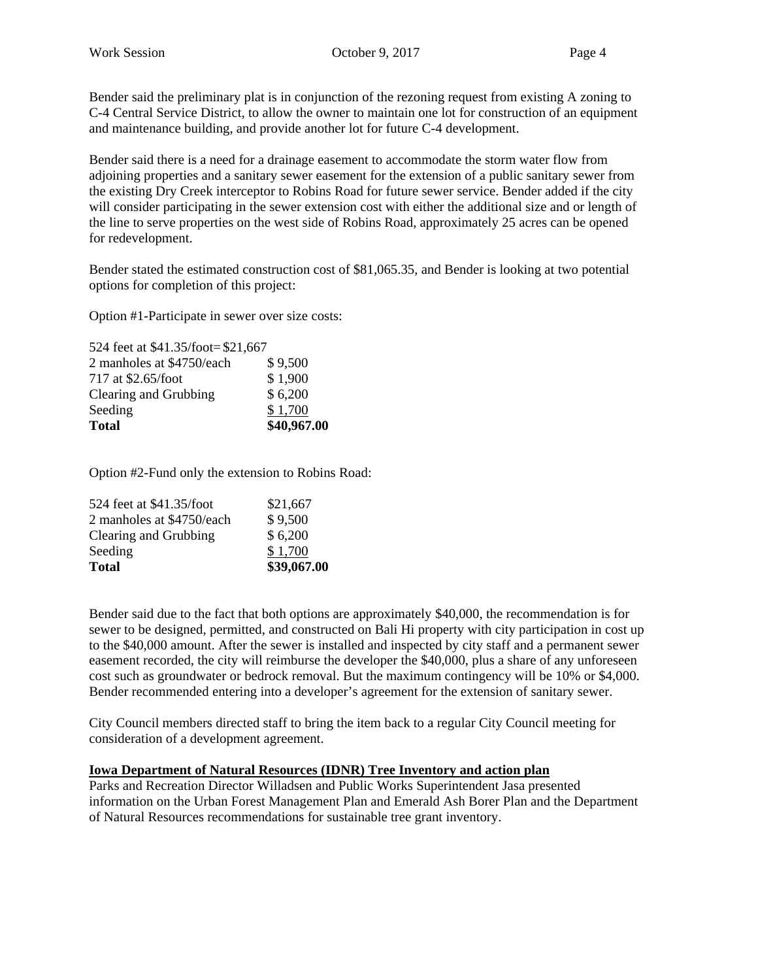Bender said the preliminary plat is in conjunction of the rezoning request from existing A zoning to C-4 Central Service District, to allow the owner to maintain one lot for construction of an equipment and maintenance building, and provide another lot for future C-4 development.

Bender said there is a need for a drainage easement to accommodate the storm water flow from adjoining properties and a sanitary sewer easement for the extension of a public sanitary sewer from the existing Dry Creek interceptor to Robins Road for future sewer service. Bender added if the city will consider participating in the sewer extension cost with either the additional size and or length of the line to serve properties on the west side of Robins Road, approximately 25 acres can be opened for redevelopment.

Bender stated the estimated construction cost of \$81,065.35, and Bender is looking at two potential options for completion of this project:

Option #1-Participate in sewer over size costs:

| <b>Total</b>                      | \$40,967.00 |
|-----------------------------------|-------------|
| Seeding                           | \$1,700     |
| Clearing and Grubbing             | \$6,200     |
| 717 at \$2.65/foot                | \$1,900     |
| 2 manholes at \$4750/each         | \$9,500     |
| 524 feet at \$41.35/foot=\$21,667 |             |

Option #2-Fund only the extension to Robins Road:

| Total                     | \$39,067.00 |
|---------------------------|-------------|
| Seeding                   | \$1,700     |
| Clearing and Grubbing     | \$6,200     |
| 2 manholes at \$4750/each | \$9,500     |
| 524 feet at \$41.35/foot  | \$21,667    |

Bender said due to the fact that both options are approximately \$40,000, the recommendation is for sewer to be designed, permitted, and constructed on Bali Hi property with city participation in cost up to the \$40,000 amount. After the sewer is installed and inspected by city staff and a permanent sewer easement recorded, the city will reimburse the developer the \$40,000, plus a share of any unforeseen cost such as groundwater or bedrock removal. But the maximum contingency will be 10% or \$4,000. Bender recommended entering into a developer's agreement for the extension of sanitary sewer.

City Council members directed staff to bring the item back to a regular City Council meeting for consideration of a development agreement.

#### **Iowa Department of Natural Resources (IDNR) Tree Inventory and action plan**

Parks and Recreation Director Willadsen and Public Works Superintendent Jasa presented information on the Urban Forest Management Plan and Emerald Ash Borer Plan and the Department of Natural Resources recommendations for sustainable tree grant inventory.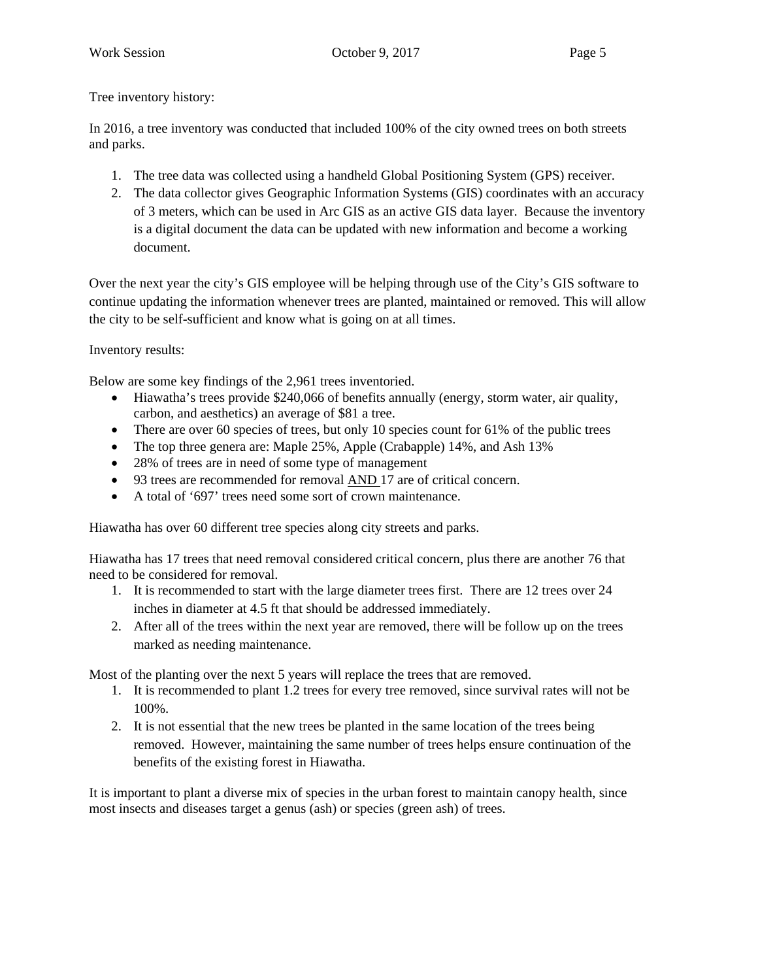Tree inventory history:

In 2016, a tree inventory was conducted that included 100% of the city owned trees on both streets and parks.

- 1. The tree data was collected using a handheld Global Positioning System (GPS) receiver.
- 2. The data collector gives Geographic Information Systems (GIS) coordinates with an accuracy of 3 meters, which can be used in Arc GIS as an active GIS data layer. Because the inventory is a digital document the data can be updated with new information and become a working document.

Over the next year the city's GIS employee will be helping through use of the City's GIS software to continue updating the information whenever trees are planted, maintained or removed. This will allow the city to be self-sufficient and know what is going on at all times.

Inventory results:

Below are some key findings of the 2,961 trees inventoried.

- Hiawatha's trees provide \$240,066 of benefits annually (energy, storm water, air quality, carbon, and aesthetics) an average of \$81 a tree.
- $\bullet$  There are over 60 species of trees, but only 10 species count for 61% of the public trees
- The top three genera are: Maple 25%, Apple (Crabapple) 14%, and Ash 13%
- 28% of trees are in need of some type of management
- 93 trees are recommended for removal AND 17 are of critical concern.
- A total of '697' trees need some sort of crown maintenance.

Hiawatha has over 60 different tree species along city streets and parks.

Hiawatha has 17 trees that need removal considered critical concern, plus there are another 76 that need to be considered for removal.

- 1. It is recommended to start with the large diameter trees first. There are 12 trees over 24 inches in diameter at 4.5 ft that should be addressed immediately.
- 2. After all of the trees within the next year are removed, there will be follow up on the trees marked as needing maintenance.

Most of the planting over the next 5 years will replace the trees that are removed.

- 1. It is recommended to plant 1.2 trees for every tree removed, since survival rates will not be 100%.
- 2. It is not essential that the new trees be planted in the same location of the trees being removed. However, maintaining the same number of trees helps ensure continuation of the benefits of the existing forest in Hiawatha.

It is important to plant a diverse mix of species in the urban forest to maintain canopy health, since most insects and diseases target a genus (ash) or species (green ash) of trees.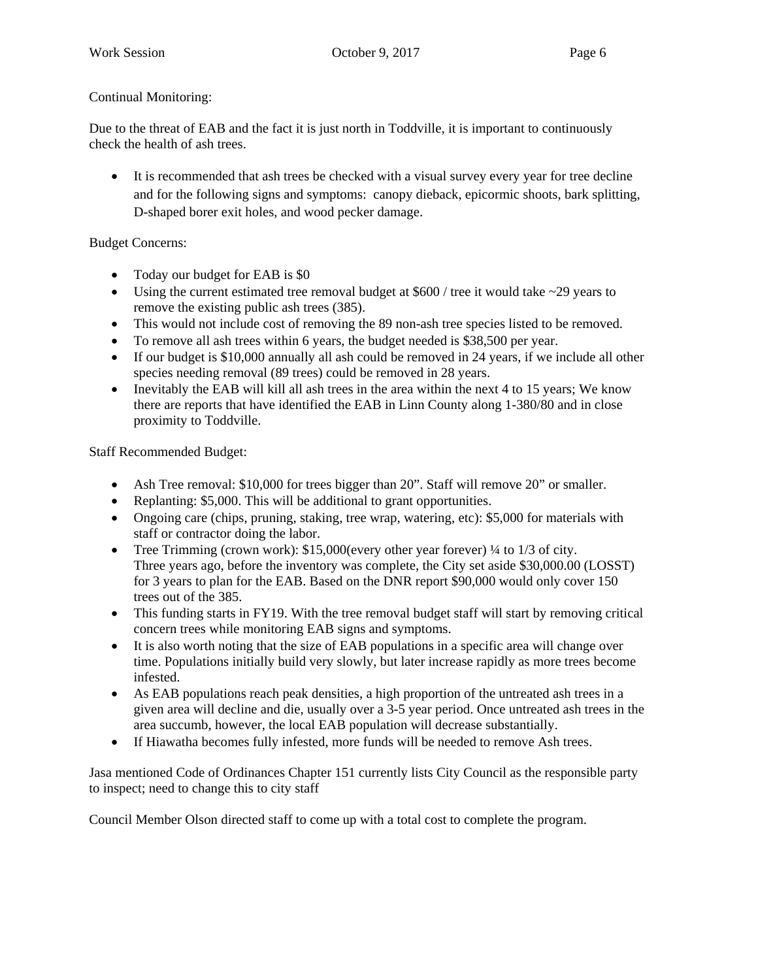## Continual Monitoring:

Due to the threat of EAB and the fact it is just north in Toddville, it is important to continuously check the health of ash trees.

 It is recommended that ash trees be checked with a visual survey every year for tree decline and for the following signs and symptoms: canopy dieback, epicormic shoots, bark splitting, D-shaped borer exit holes, and wood pecker damage.

# Budget Concerns:

- Today our budget for EAB is \$0
- Using the current estimated tree removal budget at  $$600 /$  tree it would take  $~29$  years to remove the existing public ash trees (385).
- This would not include cost of removing the 89 non-ash tree species listed to be removed.
- To remove all ash trees within 6 years, the budget needed is \$38,500 per year.
- If our budget is \$10,000 annually all ash could be removed in 24 years, if we include all other species needing removal (89 trees) could be removed in 28 years.
- $\bullet$  Inevitably the EAB will kill all ash trees in the area within the next 4 to 15 years; We know there are reports that have identified the EAB in Linn County along 1-380/80 and in close proximity to Toddville.

Staff Recommended Budget:

- Ash Tree removal: \$10,000 for trees bigger than 20". Staff will remove 20" or smaller.
- Replanting: \$5,000. This will be additional to grant opportunities.
- Ongoing care (chips, pruning, staking, tree wrap, watering, etc): \$5,000 for materials with staff or contractor doing the labor.
- Tree Trimming (crown work): \$15,000(every other year forever) ¼ to 1/3 of city. Three years ago, before the inventory was complete, the City set aside \$30,000.00 (LOSST) for 3 years to plan for the EAB. Based on the DNR report \$90,000 would only cover 150 trees out of the 385.
- This funding starts in FY19. With the tree removal budget staff will start by removing critical concern trees while monitoring EAB signs and symptoms.
- It is also worth noting that the size of EAB populations in a specific area will change over time. Populations initially build very slowly, but later increase rapidly as more trees become infested.
- As EAB populations reach peak densities, a high proportion of the untreated ash trees in a given area will decline and die, usually over a 3-5 year period. Once untreated ash trees in the area succumb, however, the local EAB population will decrease substantially.
- If Hiawatha becomes fully infested, more funds will be needed to remove Ash trees.

Jasa mentioned Code of Ordinances Chapter 151 currently lists City Council as the responsible party to inspect; need to change this to city staff

Council Member Olson directed staff to come up with a total cost to complete the program.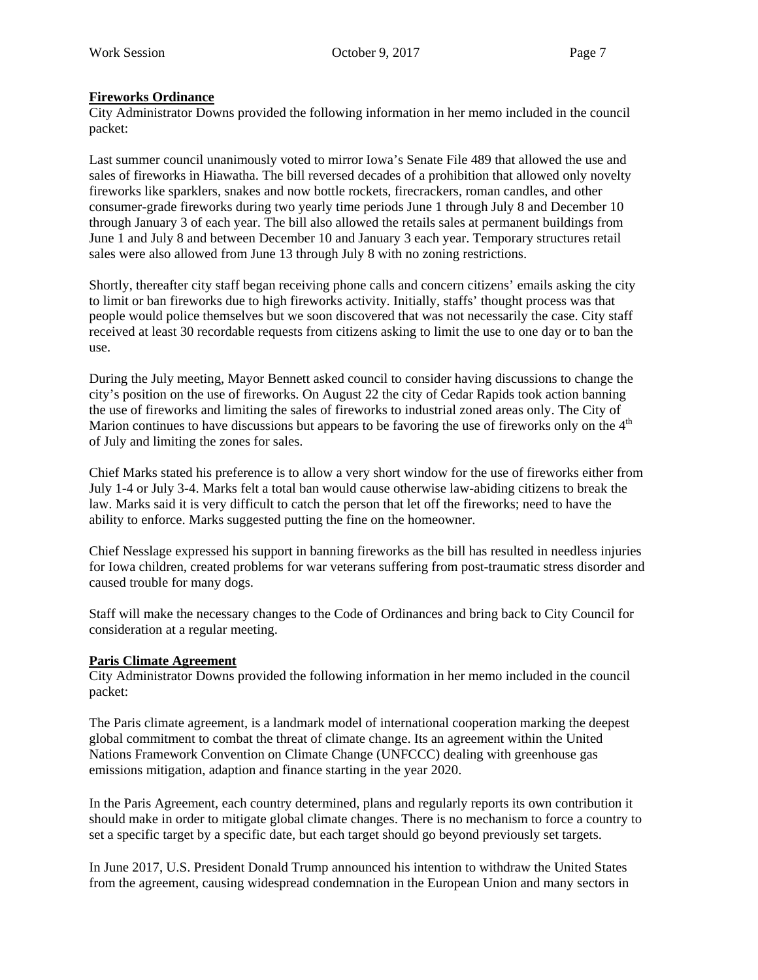### **Fireworks Ordinance**

City Administrator Downs provided the following information in her memo included in the council packet:

Last summer council unanimously voted to mirror Iowa's Senate File 489 that allowed the use and sales of fireworks in Hiawatha. The bill reversed decades of a prohibition that allowed only novelty fireworks like sparklers, snakes and now bottle rockets, firecrackers, roman candles, and other consumer-grade fireworks during two yearly time periods June 1 through July 8 and December 10 through January 3 of each year. The bill also allowed the retails sales at permanent buildings from June 1 and July 8 and between December 10 and January 3 each year. Temporary structures retail sales were also allowed from June 13 through July 8 with no zoning restrictions.

Shortly, thereafter city staff began receiving phone calls and concern citizens' emails asking the city to limit or ban fireworks due to high fireworks activity. Initially, staffs' thought process was that people would police themselves but we soon discovered that was not necessarily the case. City staff received at least 30 recordable requests from citizens asking to limit the use to one day or to ban the use.

During the July meeting, Mayor Bennett asked council to consider having discussions to change the city's position on the use of fireworks. On August 22 the city of Cedar Rapids took action banning the use of fireworks and limiting the sales of fireworks to industrial zoned areas only. The City of Marion continues to have discussions but appears to be favoring the use of fireworks only on the 4<sup>th</sup> of July and limiting the zones for sales.

Chief Marks stated his preference is to allow a very short window for the use of fireworks either from July 1-4 or July 3-4. Marks felt a total ban would cause otherwise law-abiding citizens to break the law. Marks said it is very difficult to catch the person that let off the fireworks; need to have the ability to enforce. Marks suggested putting the fine on the homeowner.

Chief Nesslage expressed his support in banning fireworks as the bill has resulted in needless injuries for Iowa children, created problems for war veterans suffering from post-traumatic stress disorder and caused trouble for many dogs.

Staff will make the necessary changes to the Code of Ordinances and bring back to City Council for consideration at a regular meeting.

#### **Paris Climate Agreement**

City Administrator Downs provided the following information in her memo included in the council packet:

The Paris climate agreement, is a landmark model of international cooperation marking the deepest global commitment to combat the threat of climate change. Its an agreement within the United Nations Framework Convention on Climate Change (UNFCCC) dealing with greenhouse gas emissions mitigation, adaption and finance starting in the year 2020.

In the Paris Agreement, each country determined, plans and regularly reports its own contribution it should make in order to mitigate global climate changes. There is no mechanism to force a country to set a specific target by a specific date, but each target should go beyond previously set targets.

In June 2017, U.S. President Donald Trump announced his intention to withdraw the United States from the agreement, causing widespread condemnation in the European Union and many sectors in